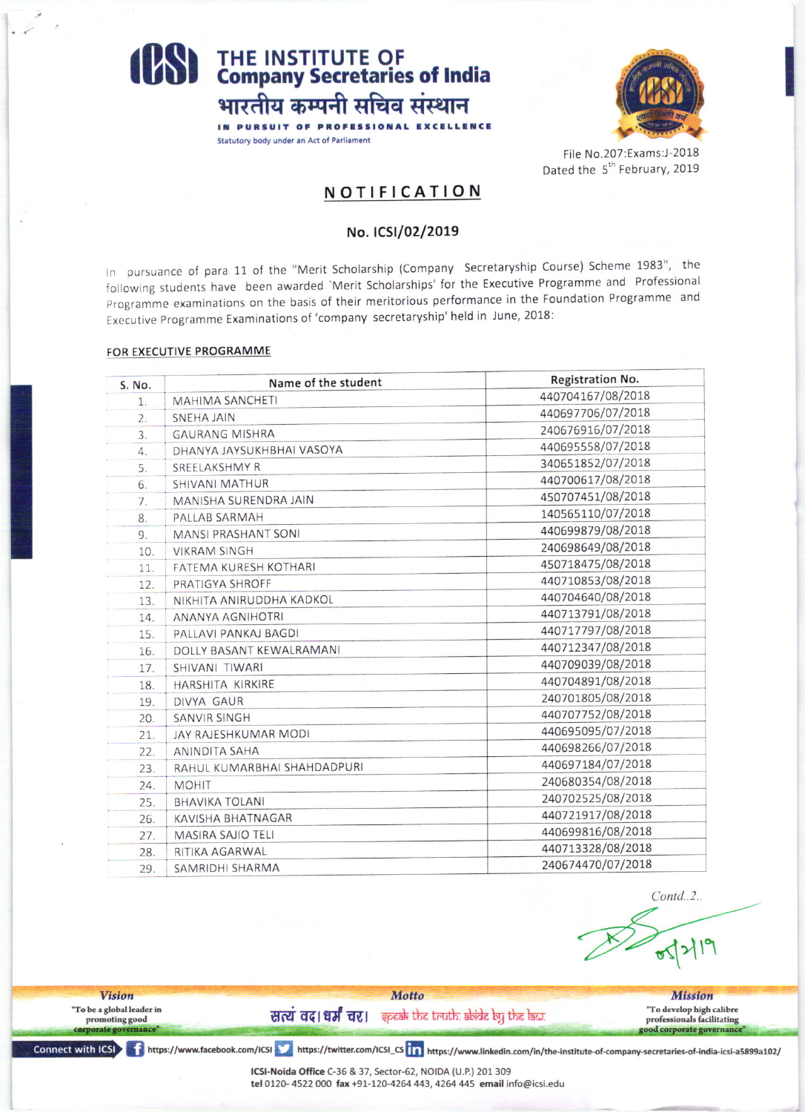## **(BS)** THE INSTITUTE OF<br>Company Secretaries of India भारतीय कम्पनी सचिव संस्थान

IN PURSUIT OF PROFESSI

Statutory body under an Act of Parliament



File No.207:Exams:J-2018 Dated the 5<sup>th</sup> February, 2019

### NOTIFICATION

#### No. ICSI/02/2019

In pursuance of para 11 of the "Merit Scholarship (Company Secretaryship Course) Scheme 1983", the following students have been awarded 'Merit Scholarships' for the Executive Programme and Professional Programme examinations on the basis of their meritorious performance in the Foundation Programme and Executive Programme Examinations of 'company secretaryship' held in June, 2018:

#### FOR EXECUTIVE PROGRAMME

| S. No. | Name of the student         | Registration No.  |  |  |
|--------|-----------------------------|-------------------|--|--|
| 1.     | <b>MAHIMA SANCHETI</b>      | 440704167/08/2018 |  |  |
| 2.     | SNEHA JAIN                  | 440697706/07/2018 |  |  |
| 3.     | <b>GAURANG MISHRA</b>       | 240676916/07/2018 |  |  |
| 4.     | DHANYA JAYSUKHBHAI VASOYA   | 440695558/07/2018 |  |  |
| 5.     | SREELAKSHMY R               | 340651852/07/2018 |  |  |
| 6.     | SHIVANI MATHUR              | 440700617/08/2018 |  |  |
| 7.     | MANISHA SURENDRA JAIN       | 450707451/08/2018 |  |  |
| 8.     | PALLAB SARMAH               | 140565110/07/2018 |  |  |
| 9.     | <b>MANSI PRASHANT SONI</b>  | 440699879/08/2018 |  |  |
| 10.    | <b>VIKRAM SINGH</b>         | 240698649/08/2018 |  |  |
| 11.    | FATEMA KURESH KOTHARI       | 450718475/08/2018 |  |  |
| 12.    | PRATIGYA SHROFF             | 440710853/08/2018 |  |  |
| 13.    | NIKHITA ANIRUDDHA KADKOL    | 440704640/08/2018 |  |  |
| 14.    | ANANYA AGNIHOTRI            | 440713791/08/2018 |  |  |
| 15.    | PALLAVI PANKAJ BAGDI        | 440717797/08/2018 |  |  |
| 16.    | DOLLY BASANT KEWALRAMANI    | 440712347/08/2018 |  |  |
| 17.    | SHIVANI TIWARI              | 440709039/08/2018 |  |  |
| 18.    | HARSHITA KIRKIRE            | 440704891/08/2018 |  |  |
| 19.    | DIVYA GAUR                  | 240701805/08/2018 |  |  |
| 20.    | <b>SANVIR SINGH</b>         | 440707752/08/2018 |  |  |
| 21.    | JAY RAJESHKUMAR MODI        | 440695095/07/2018 |  |  |
| 22.    | <b>ANINDITA SAHA</b>        | 440698266/07/2018 |  |  |
| 23.    | RAHUL KUMARBHAI SHAHDADPURI | 440697184/07/2018 |  |  |
| 24.    | <b>MOHIT</b>                | 240680354/08/2018 |  |  |
| 25.    | <b>BHAVIKA TOLANI</b>       | 240702525/08/2018 |  |  |
| 26.    | <b>KAVISHA BHATNAGAR</b>    | 440721917/08/2018 |  |  |
| 27.    | <b>MASIRA SAJIO TELI</b>    | 440699816/08/2018 |  |  |
| 28.    | RITIKA AGARWAL              | 440713328/08/2018 |  |  |
| 29.    | SAMRIDHI SHARMA             | 240674470/07/2018 |  |  |

 $Contd. 2.$ 

Motto **Vision Mission** "To be a global leader in "To develop high calibre सत्यं वद।धर्मं चर। इत्याके के स्वर्गात क्षेत्रे के प्रकट के promoting good professionals facilitating ood corporate governance

Connect with ICSI intros://www.facebook.com/ICSI https://twitter.com/ICSI\_CS in https://www.linkedin.com/in/the-institute-of-company-secretaries-of-india-icsi-a5899a102/

ICSI-Noida Office C-36 & 37, Sector-62, NOIDA (U.P.) 201 309 tel 0120-4522 000 fax +91-120-4264 443, 4264 445 email info@icsi.edu